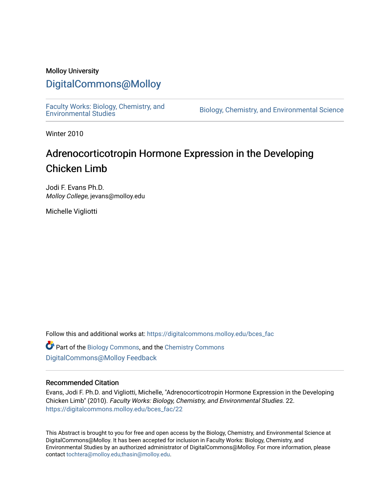### Molloy University

# [DigitalCommons@Molloy](https://digitalcommons.molloy.edu/)

[Faculty Works: Biology, Chemistry, and](https://digitalcommons.molloy.edu/bces_fac) 

Biology, Chemistry, and Environmental Science

Winter 2010

# Adrenocorticotropin Hormone Expression in the Developing Chicken Limb

Jodi F. Evans Ph.D. Molloy College, jevans@molloy.edu

Michelle Vigliotti

Follow this and additional works at: [https://digitalcommons.molloy.edu/bces\\_fac](https://digitalcommons.molloy.edu/bces_fac?utm_source=digitalcommons.molloy.edu%2Fbces_fac%2F22&utm_medium=PDF&utm_campaign=PDFCoverPages)

 $\bullet$  Part of the [Biology Commons,](https://network.bepress.com/hgg/discipline/41?utm_source=digitalcommons.molloy.edu%2Fbces_fac%2F22&utm_medium=PDF&utm_campaign=PDFCoverPages) and the [Chemistry Commons](https://network.bepress.com/hgg/discipline/131?utm_source=digitalcommons.molloy.edu%2Fbces_fac%2F22&utm_medium=PDF&utm_campaign=PDFCoverPages) [DigitalCommons@Molloy Feedback](https://molloy.libwizard.com/f/dcfeedback)

#### Recommended Citation

Evans, Jodi F. Ph.D. and Vigliotti, Michelle, "Adrenocorticotropin Hormone Expression in the Developing Chicken Limb" (2010). Faculty Works: Biology, Chemistry, and Environmental Studies. 22. [https://digitalcommons.molloy.edu/bces\\_fac/22](https://digitalcommons.molloy.edu/bces_fac/22?utm_source=digitalcommons.molloy.edu%2Fbces_fac%2F22&utm_medium=PDF&utm_campaign=PDFCoverPages) 

This Abstract is brought to you for free and open access by the Biology, Chemistry, and Environmental Science at DigitalCommons@Molloy. It has been accepted for inclusion in Faculty Works: Biology, Chemistry, and Environmental Studies by an authorized administrator of DigitalCommons@Molloy. For more information, please contact [tochtera@molloy.edu,thasin@molloy.edu.](mailto:tochtera@molloy.edu,thasin@molloy.edu)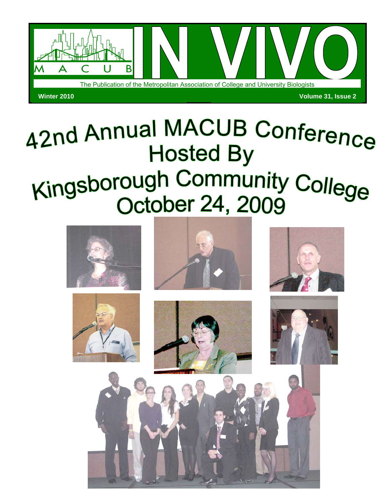

# 42nd Annual MACUB Conference **Hosted By** Kingsborough Community College **October 24, 2009**

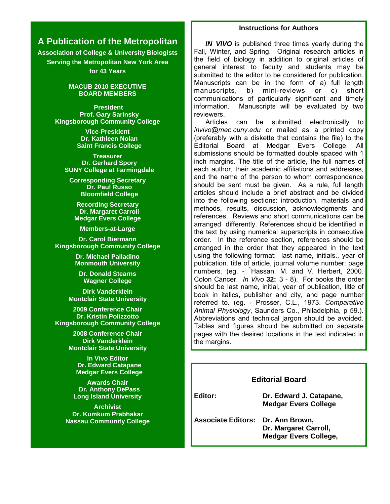## **Instructions for Authors**

## **A Publication of the Metropolitan**

**Association of College & University Biologists Serving the Metropolitan New York Area for 43 Years** 

#### **MACUB 2010 EXECUTIVE BOARD MEMBERS**

 **President Prof. Gary Sarinsky Kingsborough Community College**

> **Vice-President Dr. Kathleen Nolan Saint Francis College**

**Treasurer Dr. Gerhard Spory SUNY College at Farmingdale**

**Corresponding Secretary Dr. Paul Russo Bloomfield College**

**Recording Secretary Dr. Margaret Carroll Medgar Evers College**

**Members-at-Large**

**Dr. Carol Biermann Kingsborough Community College**

> **Dr. Michael Palladino Monmouth University**

**Dr. Donald Stearns Wagner College**

**Dirk Vanderklein Montclair State University**

**2009 Conference Chair Dr. Kristin Polizzotto Kingsborough Community College**

> **2008 Conference Chair Dirk Vanderklein Montclair State University**

**In Vivo Editor Dr. Edward Catapane Medgar Evers College**

**Awards Chair Dr. Anthony DePass Long Island University**

**Archivist Dr. Kumkum Prabhakar Nassau Community College**

*IN VIVO* is published three times yearly during the Fall, Winter, and Spring. Original research articles in the field of biology in addition to original articles of general interest to faculty and students may be submitted to the editor to be considered for publication. Manuscripts can be in the form of a) full length manuscripts, b) mini-reviews or c) short communications of particularly significant and timely information. Manuscripts will be evaluated by two reviewers.

 Articles can be submitted electronically to *invivo@mec.cuny.edu* or mailed as a printed copy (preferably with a diskette that contains the file) to the Editorial Board at Medgar Evers College. All submissions should be formatted double spaced with 1 inch margins. The title of the article, the full names of each author, their academic affiliations and addresses, and the name of the person to whom correspondence should be sent must be given. As a rule, full length articles should include a brief abstract and be divided into the following sections: introduction, materials and methods, results, discussion, acknowledgments and references. Reviews and short communications can be arranged differently. References should be identified in the text by using numerical superscripts in consecutive order. In the reference section, references should be arranged in the order that they appeared in the text using the following format: last name, initials., year of publication. title of article, journal volume number: page numbers. (eg. - <sup>1</sup>Hassan, M. and V. Herbert, 2000. Colon Cancer. *In Vivo* **32:** 3 - 8). For books the order should be last name, initial, year of publication, title of book in italics, publisher and city, and page number referred to. (eg. - Prosser, C.L., 1973. *Comparative Animal Physiology*, Saunders Co., Philadelphia, p 59.). Abbreviations and technical jargon should be avoided. Tables and figures should be submitted on separate pages with the desired locations in the text indicated in the margins.

#### **Editorial Board**

**Editor: Dr. Edward J. Catapane, Medgar Evers College** 

**Associate Editors: Dr. Ann Brown, Dr. Margaret Carroll, Medgar Evers College,**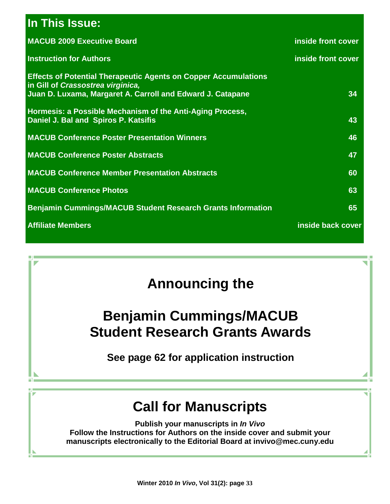# **In This Issue:**

| <b>MACUB 2009 Executive Board</b>                                                                                                                                         | inside front cover |
|---------------------------------------------------------------------------------------------------------------------------------------------------------------------------|--------------------|
| <b>Instruction for Authors</b>                                                                                                                                            | inside front cover |
| <b>Effects of Potential Therapeutic Agents on Copper Accumulations</b><br>in Gill of Crassostrea virginica,<br>Juan D. Luxama, Margaret A. Carroll and Edward J. Catapane | 34                 |
| Hormesis: a Possible Mechanism of the Anti-Aging Process,<br>Daniel J. Bal and Spiros P. Katsifis                                                                         | 43                 |
| <b>MACUB Conference Poster Presentation Winners</b>                                                                                                                       | 46                 |
| <b>MACUB Conference Poster Abstracts</b>                                                                                                                                  | 47                 |
| <b>MACUB Conference Member Presentation Abstracts</b>                                                                                                                     | 60                 |
| <b>MACUB Conference Photos</b>                                                                                                                                            | 63                 |
| <b>Benjamin Cummings/MACUB Student Research Grants Information</b>                                                                                                        | 65                 |
| <b>Affiliate Members</b>                                                                                                                                                  | inside back cover  |